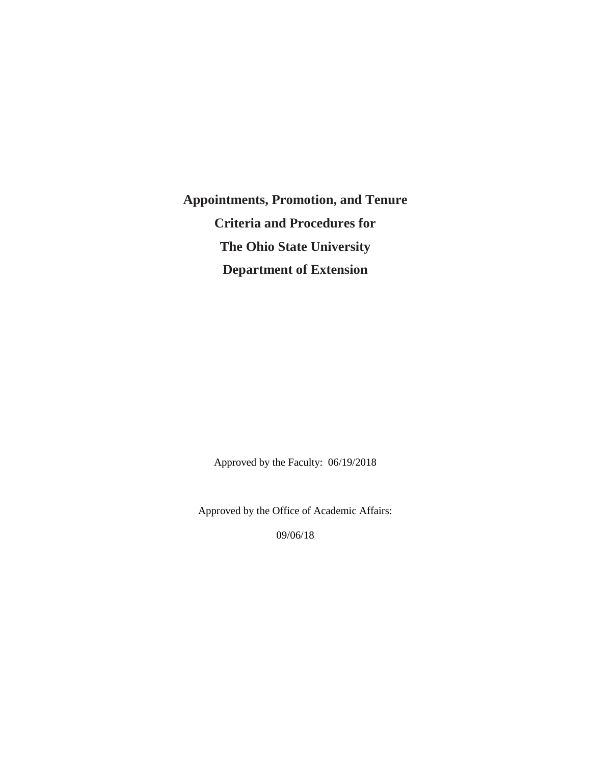**Appointments, Promotion, and Tenure Criteria and Procedures for The Ohio State University Department of Extension**

Approved by the Faculty: 06/19/2018

Approved by the Office of Academic Affairs:

09/06/18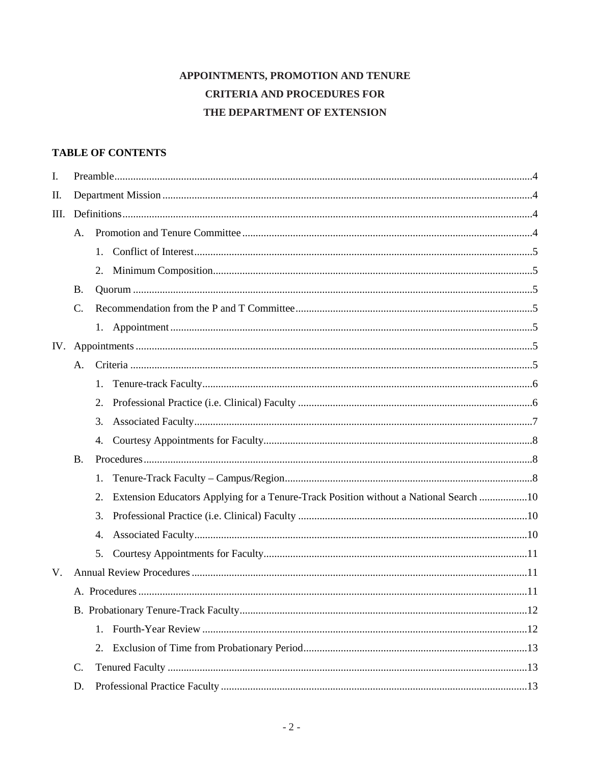# APPOINTMENTS, PROMOTION AND TENURE **CRITERIA AND PROCEDURES FOR** THE DEPARTMENT OF EXTENSION

# **TABLE OF CONTENTS**

| I.   |                 |                                                                                             |  |  |
|------|-----------------|---------------------------------------------------------------------------------------------|--|--|
| П.   |                 |                                                                                             |  |  |
| III. |                 |                                                                                             |  |  |
|      | А.              |                                                                                             |  |  |
|      |                 | $1_{\cdot}$                                                                                 |  |  |
|      |                 | 2.                                                                                          |  |  |
|      | <b>B.</b>       |                                                                                             |  |  |
|      | $C$ .           |                                                                                             |  |  |
|      |                 |                                                                                             |  |  |
| IV.  |                 |                                                                                             |  |  |
|      | А.              |                                                                                             |  |  |
|      |                 | 1.                                                                                          |  |  |
|      |                 | 2.                                                                                          |  |  |
|      |                 | 3.                                                                                          |  |  |
|      |                 | 4.                                                                                          |  |  |
|      | <b>B.</b>       |                                                                                             |  |  |
|      |                 | 1.                                                                                          |  |  |
|      |                 | Extension Educators Applying for a Tenure-Track Position without a National Search 10<br>2. |  |  |
|      |                 | 3.                                                                                          |  |  |
|      |                 | 4.                                                                                          |  |  |
|      |                 | 5.                                                                                          |  |  |
| V.   |                 |                                                                                             |  |  |
|      |                 |                                                                                             |  |  |
|      |                 |                                                                                             |  |  |
|      |                 | $1_{\cdot}$                                                                                 |  |  |
|      |                 | 2.                                                                                          |  |  |
|      | $\mathcal{C}$ . |                                                                                             |  |  |
|      | D.              |                                                                                             |  |  |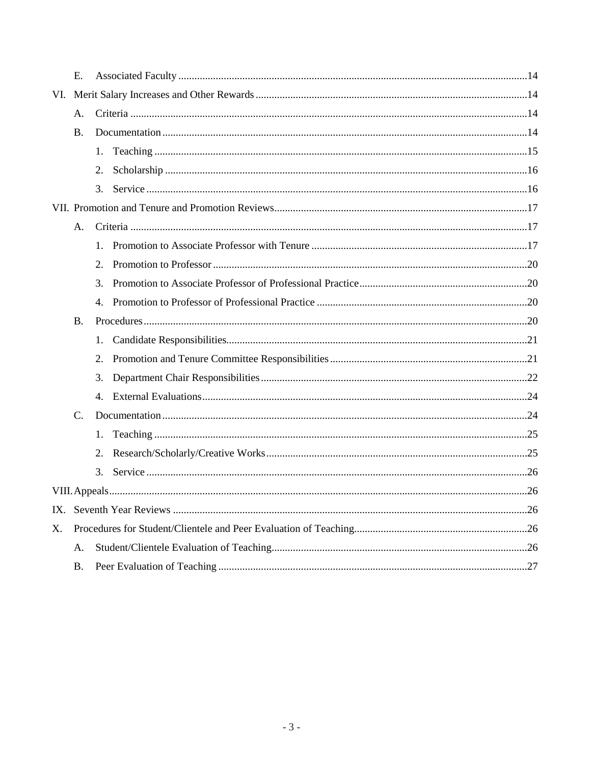|     | E.        |                |  |
|-----|-----------|----------------|--|
| VI. |           |                |  |
|     | A.        |                |  |
|     | <b>B.</b> |                |  |
|     |           | 1.             |  |
|     |           | 2.             |  |
|     |           | 3.             |  |
|     |           |                |  |
|     | A.        |                |  |
|     |           | $1_{-}$        |  |
|     |           | 2.             |  |
|     |           | 3.             |  |
|     |           | 4.             |  |
|     | <b>B.</b> |                |  |
|     |           | 1.             |  |
|     |           | 2.             |  |
|     |           | 3.             |  |
|     |           | $\mathbf{4}$ . |  |
|     | C.        |                |  |
|     |           | 1.             |  |
|     |           | 2.             |  |
|     |           | 3.             |  |
|     |           |                |  |
| IX. |           |                |  |
| Χ.  |           |                |  |
|     | A.        |                |  |
|     | <b>B.</b> |                |  |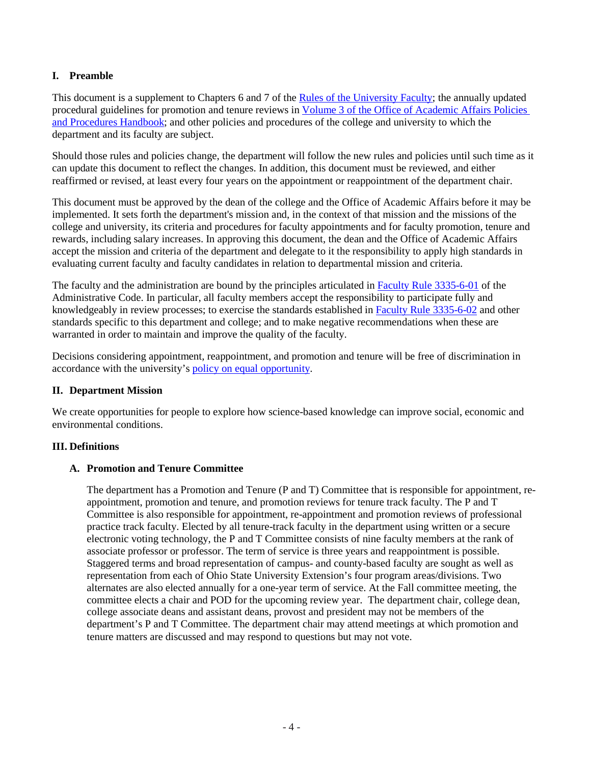## <span id="page-3-0"></span>**I. Preamble**

This document is a supplement to Chapters 6 and 7 of the [Rules of the University Faculty;](https://trustees.osu.edu/index.php?q=university/facultyrules) the annually updated procedural guidelines for promotion and tenure reviews in [Volume 3 of the Office of Academic Affairs Policies](https://oaa.osu.edu/sites/default/files/uploads/handbooks/policies-and-procedures/3HBPT.pdf) [and Procedures Handbook;](https://oaa.osu.edu/sites/default/files/uploads/handbooks/policies-and-procedures/3HBPT.pdf) and other policies and procedures of the college and university to which the department and its faculty are subject.

Should those rules and policies change, the department will follow the new rules and policies until such time as it can update this document to reflect the changes. In addition, this document must be reviewed, and either reaffirmed or revised, at least every four years on the appointment or reappointment of the department chair.

This document must be approved by the dean of the college and the Office of Academic Affairs before it may be implemented. It sets forth the department's mission and, in the context of that mission and the missions of the college and university, its criteria and procedures for faculty appointments and for faculty promotion, tenure and rewards, including salary increases. In approving this document, the dean and the Office of Academic Affairs accept the mission and criteria of the department and delegate to it the responsibility to apply high standards in evaluating current faculty and faculty candidates in relation to departmental mission and criteria.

The faculty and the administration are bound by the principles articulated in [Faculty Rule](https://trustees.osu.edu/rules/university-rules/chapter-3335-6-rules-of-the-university-faculty-concerning-faculty-appointments-reappointments-promotion-and-tenure.html) 3335-6-01 of the Administrative Code. In particular, all faculty members accept the responsibility to participate fully and knowledgeably in review processes; to exercise the standards established in [Faculty Rule 3335-6-02](https://trustees.osu.edu/rules/university-rules/chapter-3335-6-rules-of-the-university-faculty-concerning-faculty-appointments-reappointments-promotion-and-tenure.html) and other standards specific to this department and college; and to make negative recommendations when these are warranted in order to maintain and improve the quality of the faculty.

Decisions considering appointment, reappointment, and promotion and tenure will be free of discrimination in accordance with the university's [policy on equal opportunity.](https://hr.osu.edu/public/documents/policy/policy110.pdf)

#### <span id="page-3-1"></span>**II. Department Mission**

We create opportunities for people to explore how science-based knowledge can improve social, economic and environmental conditions.

#### <span id="page-3-2"></span>**III. Definitions**

#### <span id="page-3-3"></span>**A. Promotion and Tenure Committee**

The department has a Promotion and Tenure (P and T) Committee that is responsible for appointment, reappointment, promotion and tenure, and promotion reviews for tenure track faculty. The P and T Committee is also responsible for appointment, re-appointment and promotion reviews of professional practice track faculty. Elected by all tenure-track faculty in the department using written or a secure electronic voting technology, the P and T Committee consists of nine faculty members at the rank of associate professor or professor. The term of service is three years and reappointment is possible. Staggered terms and broad representation of campus- and county-based faculty are sought as well as representation from each of Ohio State University Extension's four program areas/divisions. Two alternates are also elected annually for a one-year term of service. At the Fall committee meeting, the committee elects a chair and POD for the upcoming review year. The department chair, college dean, college associate deans and assistant deans, provost and president may not be members of the department's P and T Committee. The department chair may attend meetings at which promotion and tenure matters are discussed and may respond to questions but may not vote.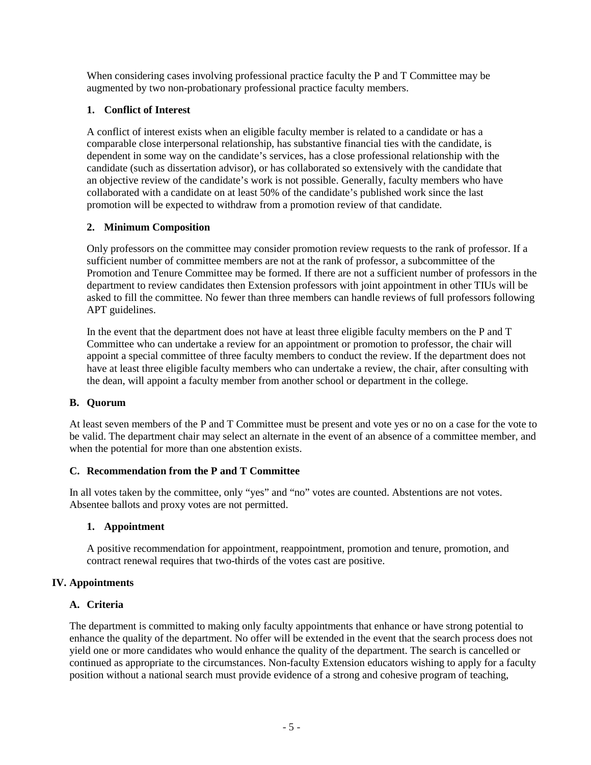When considering cases involving professional practice faculty the P and T Committee may be augmented by two non-probationary professional practice faculty members.

# <span id="page-4-0"></span>**1. Conflict of Interest**

A conflict of interest exists when an eligible faculty member is related to a candidate or has a comparable close interpersonal relationship, has substantive financial ties with the candidate, is dependent in some way on the candidate's services, has a close professional relationship with the candidate (such as dissertation advisor), or has collaborated so extensively with the candidate that an objective review of the candidate's work is not possible. Generally, faculty members who have collaborated with a candidate on at least 50% of the candidate's published work since the last promotion will be expected to withdraw from a promotion review of that candidate.

## <span id="page-4-1"></span>**2. Minimum Composition**

Only professors on the committee may consider promotion review requests to the rank of professor. If a sufficient number of committee members are not at the rank of professor, a subcommittee of the Promotion and Tenure Committee may be formed. If there are not a sufficient number of professors in the department to review candidates then Extension professors with joint appointment in other TIUs will be asked to fill the committee. No fewer than three members can handle reviews of full professors following APT guidelines.

In the event that the department does not have at least three eligible faculty members on the P and T Committee who can undertake a review for an appointment or promotion to professor, the chair will appoint a special committee of three faculty members to conduct the review. If the department does not have at least three eligible faculty members who can undertake a review, the chair, after consulting with the dean, will appoint a faculty member from another school or department in the college.

#### <span id="page-4-2"></span>**B. Quorum**

At least seven members of the P and T Committee must be present and vote yes or no on a case for the vote to be valid. The department chair may select an alternate in the event of an absence of a committee member, and when the potential for more than one abstention exists.

#### <span id="page-4-3"></span>**C. Recommendation from the P and T Committee**

In all votes taken by the committee, only "yes" and "no" votes are counted. Abstentions are not votes. Absentee ballots and proxy votes are not permitted.

#### <span id="page-4-4"></span>**1. Appointment**

A positive recommendation for appointment, reappointment, promotion and tenure, promotion, and contract renewal requires that two-thirds of the votes cast are positive.

#### <span id="page-4-5"></span>**IV. Appointments**

#### <span id="page-4-6"></span>**A. Criteria**

The department is committed to making only faculty appointments that enhance or have strong potential to enhance the quality of the department. No offer will be extended in the event that the search process does not yield one or more candidates who would enhance the quality of the department. The search is cancelled or continued as appropriate to the circumstances. Non-faculty Extension educators wishing to apply for a faculty position without a national search must provide evidence of a strong and cohesive program of teaching,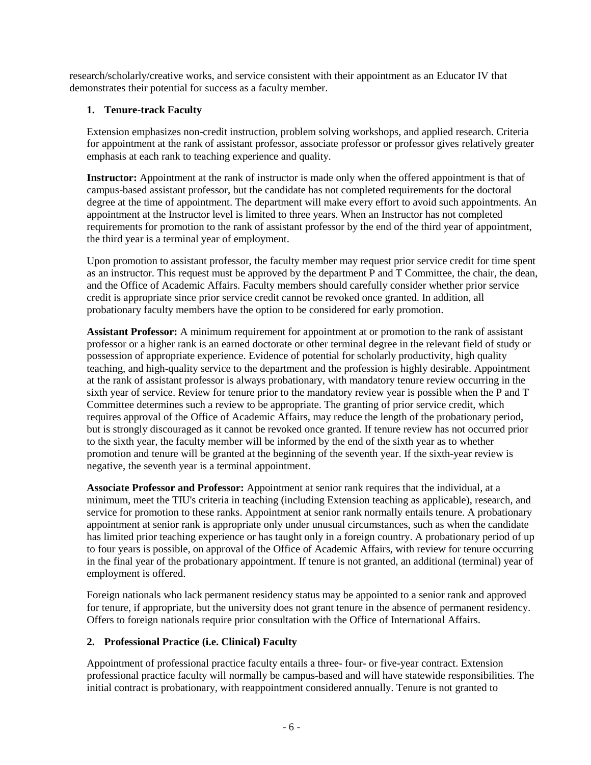research/scholarly/creative works, and service consistent with their appointment as an Educator IV that demonstrates their potential for success as a faculty member.

# <span id="page-5-0"></span>**1. Tenure-track Faculty**

Extension emphasizes non-credit instruction, problem solving workshops, and applied research. Criteria for appointment at the rank of assistant professor, associate professor or professor gives relatively greater emphasis at each rank to teaching experience and quality.

**Instructor:** Appointment at the rank of instructor is made only when the offered appointment is that of campus-based assistant professor, but the candidate has not completed requirements for the doctoral degree at the time of appointment. The department will make every effort to avoid such appointments. An appointment at the Instructor level is limited to three years. When an Instructor has not completed requirements for promotion to the rank of assistant professor by the end of the third year of appointment, the third year is a terminal year of employment.

Upon promotion to assistant professor, the faculty member may request prior service credit for time spent as an instructor. This request must be approved by the department P and T Committee, the chair, the dean, and the Office of Academic Affairs. Faculty members should carefully consider whether prior service credit is appropriate since prior service credit cannot be revoked once granted. In addition, all probationary faculty members have the option to be considered for early promotion.

**Assistant Professor:** A minimum requirement for appointment at or promotion to the rank of assistant professor or a higher rank is an earned doctorate or other terminal degree in the relevant field of study or possession of appropriate experience. Evidence of potential for scholarly productivity, high quality teaching, and high-quality service to the department and the profession is highly desirable. Appointment at the rank of assistant professor is always probationary, with mandatory tenure review occurring in the sixth year of service. Review for tenure prior to the mandatory review year is possible when the P and T Committee determines such a review to be appropriate. The granting of prior service credit, which requires approval of the Office of Academic Affairs, may reduce the length of the probationary period, but is strongly discouraged as it cannot be revoked once granted. If tenure review has not occurred prior to the sixth year, the faculty member will be informed by the end of the sixth year as to whether promotion and tenure will be granted at the beginning of the seventh year. If the sixth-year review is negative, the seventh year is a terminal appointment.

**Associate Professor and Professor:** Appointment at senior rank requires that the individual, at a minimum, meet the TIU's criteria in teaching (including Extension teaching as applicable), research, and service for promotion to these ranks. Appointment at senior rank normally entails tenure. A probationary appointment at senior rank is appropriate only under unusual circumstances, such as when the candidate has limited prior teaching experience or has taught only in a foreign country. A probationary period of up to four years is possible, on approval of the Office of Academic Affairs, with review for tenure occurring in the final year of the probationary appointment. If tenure is not granted, an additional (terminal) year of employment is offered.

Foreign nationals who lack permanent residency status may be appointed to a senior rank and approved for tenure, if appropriate, but the university does not grant tenure in the absence of permanent residency. Offers to foreign nationals require prior consultation with the Office of International Affairs.

# <span id="page-5-1"></span>**2. Professional Practice (i.e. Clinical) Faculty**

Appointment of professional practice faculty entails a three- four- or five-year contract. Extension professional practice faculty will normally be campus-based and will have statewide responsibilities. The initial contract is probationary, with reappointment considered annually. Tenure is not granted to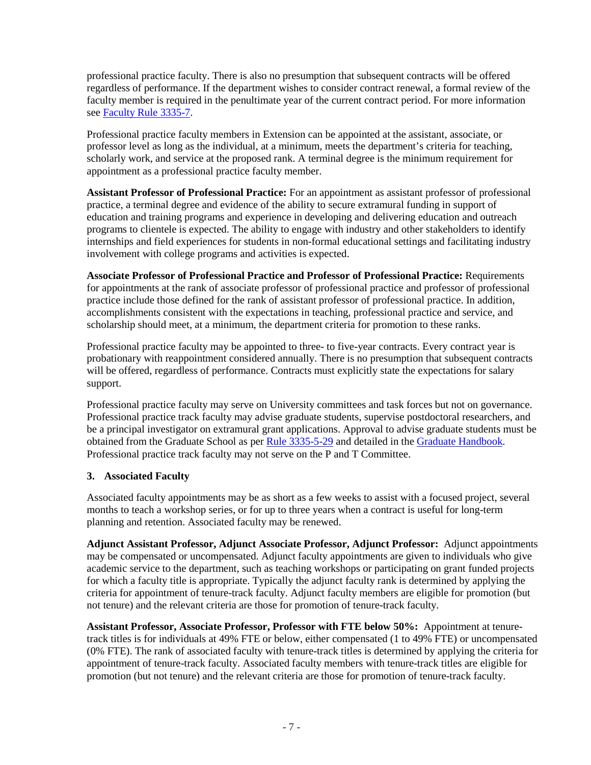professional practice faculty. There is also no presumption that subsequent contracts will be offered regardless of performance. If the department wishes to consider contract renewal, a formal review of the faculty member is required in the penultimate year of the current contract period. For more information see [Faculty Rule 3335-7.](https://trustees.osu.edu/rules/university-rules/chapter-3335-7-rules-of-the-university-faculty-concerning-clinical-faculty-appointment-reappointment-and-nonreappointment-and-promotion.html)

Professional practice faculty members in Extension can be appointed at the assistant, associate, or professor level as long as the individual, at a minimum, meets the department's criteria for teaching, scholarly work, and service at the proposed rank. A terminal degree is the minimum requirement for appointment as a professional practice faculty member.

**Assistant Professor of Professional Practice:** For an appointment as assistant professor of professional practice, a terminal degree and evidence of the ability to secure extramural funding in support of education and training programs and experience in developing and delivering education and outreach programs to clientele is expected. The ability to engage with industry and other stakeholders to identify internships and field experiences for students in non-formal educational settings and facilitating industry involvement with college programs and activities is expected.

**Associate Professor of Professional Practice and Professor of Professional Practice:** Requirements for appointments at the rank of associate professor of professional practice and professor of professional practice include those defined for the rank of assistant professor of professional practice. In addition, accomplishments consistent with the expectations in teaching, professional practice and service, and scholarship should meet, at a minimum, the department criteria for promotion to these ranks.

Professional practice faculty may be appointed to three- to five-year contracts. Every contract year is probationary with reappointment considered annually. There is no presumption that subsequent contracts will be offered, regardless of performance. Contracts must explicitly state the expectations for salary support.

Professional practice faculty may serve on University committees and task forces but not on governance. Professional practice track faculty may advise graduate students, supervise postdoctoral researchers, and be a principal investigator on extramural grant applications. Approval to advise graduate students must be obtained from the Graduate School as per [Rule 3335-5-29](https://trustees.osu.edu/rules/university-rules/chapter-3335-5-faculty-governance-and-committees.html) and detailed in the [Graduate Handbook.](https://gradsch.osu.edu/handbook) Professional practice track faculty may not serve on the P and T Committee.

# <span id="page-6-0"></span>**3. Associated Faculty**

Associated faculty appointments may be as short as a few weeks to assist with a focused project, several months to teach a workshop series, or for up to three years when a contract is useful for long-term planning and retention. Associated faculty may be renewed.

**Adjunct Assistant Professor, Adjunct Associate Professor, Adjunct Professor:** Adjunct appointments may be compensated or uncompensated. Adjunct faculty appointments are given to individuals who give academic service to the department, such as teaching workshops or participating on grant funded projects for which a faculty title is appropriate. Typically the adjunct faculty rank is determined by applying the criteria for appointment of tenure-track faculty. Adjunct faculty members are eligible for promotion (but not tenure) and the relevant criteria are those for promotion of tenure-track faculty.

**Assistant Professor, Associate Professor, Professor with FTE below 50%:** Appointment at tenuretrack titles is for individuals at 49% FTE or below, either compensated (1 to 49% FTE) or uncompensated (0% FTE). The rank of associated faculty with tenure-track titles is determined by applying the criteria for appointment of tenure-track faculty. Associated faculty members with tenure-track titles are eligible for promotion (but not tenure) and the relevant criteria are those for promotion of tenure-track faculty.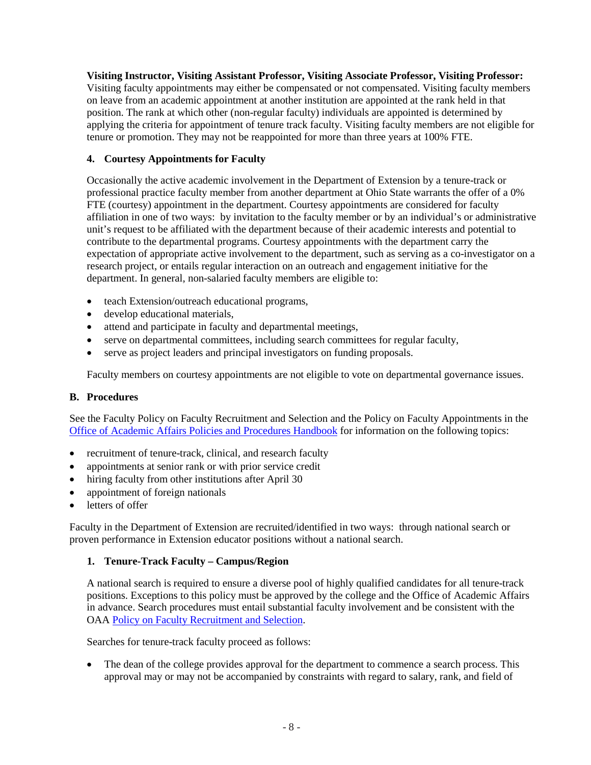**Visiting Instructor, Visiting Assistant Professor, Visiting Associate Professor, Visiting Professor:** Visiting faculty appointments may either be compensated or not compensated. Visiting faculty members on leave from an academic appointment at another institution are appointed at the rank held in that position. The rank at which other (non-regular faculty) individuals are appointed is determined by applying the criteria for appointment of tenure track faculty. Visiting faculty members are not eligible for tenure or promotion. They may not be reappointed for more than three years at 100% FTE.

# <span id="page-7-0"></span>**4. Courtesy Appointments for Faculty**

Occasionally the active academic involvement in the Department of Extension by a tenure-track or professional practice faculty member from another department at Ohio State warrants the offer of a 0% FTE (courtesy) appointment in the department. Courtesy appointments are considered for faculty affiliation in one of two ways: by invitation to the faculty member or by an individual's or administrative unit's request to be affiliated with the department because of their academic interests and potential to contribute to the departmental programs. Courtesy appointments with the department carry the expectation of appropriate active involvement to the department, such as serving as a co-investigator on a research project, or entails regular interaction on an outreach and engagement initiative for the department. In general, non-salaried faculty members are eligible to:

- teach Extension/outreach educational programs,
- develop educational materials,
- attend and participate in faculty and departmental meetings,
- serve on departmental committees, including search committees for regular faculty,
- serve as project leaders and principal investigators on funding proposals.

Faculty members on courtesy appointments are not eligible to vote on departmental governance issues.

# <span id="page-7-1"></span>**B. Procedures**

See the Faculty Policy on Faculty Recruitment and Selection and the Policy on Faculty Appointments in the [Office of Academic Affairs Policies and Procedures Handbook](https://oaa.osu.edu/policies-and-procedures-handbook) for information on the following topics:

- recruitment of tenure-track, clinical, and research faculty
- appointments at senior rank or with prior service credit
- hiring faculty from other institutions after April 30
- appointment of foreign nationals
- letters of offer

Faculty in the Department of Extension are recruited/identified in two ways: through national search or proven performance in Extension educator positions without a national search.

# <span id="page-7-2"></span>**1. Tenure-Track Faculty – Campus/Region**

A national search is required to ensure a diverse pool of highly qualified candidates for all tenure-track positions. Exceptions to this policy must be approved by the college and the Office of Academic Affairs in advance. Search procedures must entail substantial faculty involvement and be consistent with the OAA [Policy on Faculty Recruitment and Selection.](http://oaa.osu.edu/sites/default/files/links_files/facultyrecruitment.pdf)

Searches for tenure-track faculty proceed as follows:

• The dean of the college provides approval for the department to commence a search process. This approval may or may not be accompanied by constraints with regard to salary, rank, and field of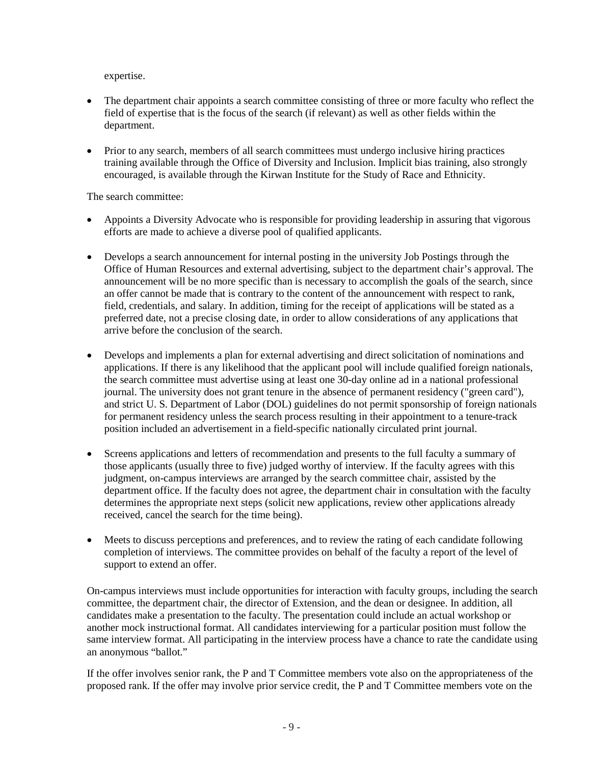expertise.

- The department chair appoints a search committee consisting of three or more faculty who reflect the field of expertise that is the focus of the search (if relevant) as well as other fields within the department.
- Prior to any search, members of all search committees must undergo inclusive hiring practices training available through the Office of Diversity and Inclusion. Implicit bias training, also strongly encouraged, is available through the Kirwan Institute for the Study of Race and Ethnicity.

The search committee:

- Appoints a Diversity Advocate who is responsible for providing leadership in assuring that vigorous efforts are made to achieve a diverse pool of qualified applicants.
- Develops a search announcement for internal posting in the university Job Postings through the Office of Human Resources and external advertising, subject to the department chair's approval. The announcement will be no more specific than is necessary to accomplish the goals of the search, since an offer cannot be made that is contrary to the content of the announcement with respect to rank, field, credentials, and salary. In addition, timing for the receipt of applications will be stated as a preferred date, not a precise closing date, in order to allow considerations of any applications that arrive before the conclusion of the search.
- Develops and implements a plan for external advertising and direct solicitation of nominations and applications. If there is any likelihood that the applicant pool will include qualified foreign nationals, the search committee must advertise using at least one 30-day online ad in a national professional journal. The university does not grant tenure in the absence of permanent residency ("green card"), and strict U. S. Department of Labor (DOL) guidelines do not permit sponsorship of foreign nationals for permanent residency unless the search process resulting in their appointment to a tenure-track position included an advertisement in a field-specific nationally circulated print journal.
- Screens applications and letters of recommendation and presents to the full faculty a summary of those applicants (usually three to five) judged worthy of interview. If the faculty agrees with this judgment, on-campus interviews are arranged by the search committee chair, assisted by the department office. If the faculty does not agree, the department chair in consultation with the faculty determines the appropriate next steps (solicit new applications, review other applications already received, cancel the search for the time being).
- Meets to discuss perceptions and preferences, and to review the rating of each candidate following completion of interviews. The committee provides on behalf of the faculty a report of the level of support to extend an offer.

On-campus interviews must include opportunities for interaction with faculty groups, including the search committee, the department chair, the director of Extension, and the dean or designee. In addition, all candidates make a presentation to the faculty. The presentation could include an actual workshop or another mock instructional format. All candidates interviewing for a particular position must follow the same interview format. All participating in the interview process have a chance to rate the candidate using an anonymous "ballot."

If the offer involves senior rank, the P and T Committee members vote also on the appropriateness of the proposed rank. If the offer may involve prior service credit, the P and T Committee members vote on the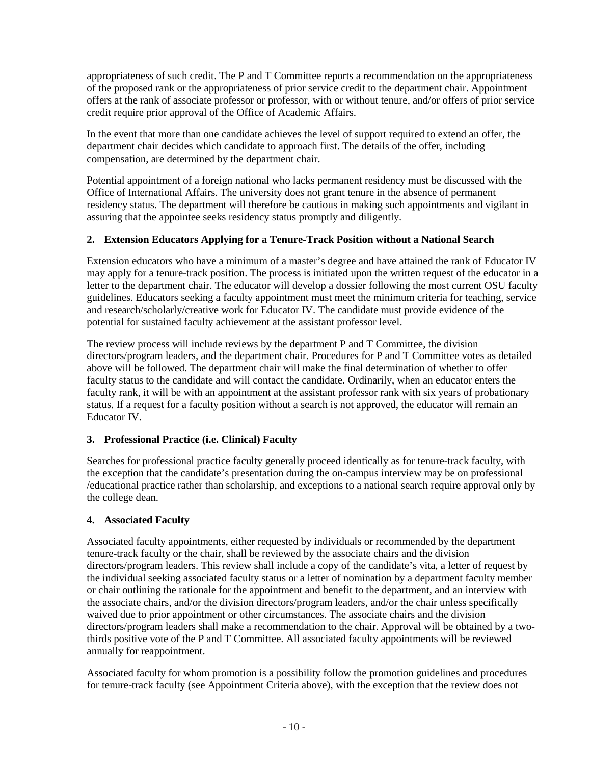appropriateness of such credit. The P and T Committee reports a recommendation on the appropriateness of the proposed rank or the appropriateness of prior service credit to the department chair. Appointment offers at the rank of associate professor or professor, with or without tenure, and/or offers of prior service credit require prior approval of the Office of Academic Affairs.

In the event that more than one candidate achieves the level of support required to extend an offer, the department chair decides which candidate to approach first. The details of the offer, including compensation, are determined by the department chair.

Potential appointment of a foreign national who lacks permanent residency must be discussed with the Office of International Affairs. The university does not grant tenure in the absence of permanent residency status. The department will therefore be cautious in making such appointments and vigilant in assuring that the appointee seeks residency status promptly and diligently.

# <span id="page-9-0"></span>**2. Extension Educators Applying for a Tenure-Track Position without a National Search**

Extension educators who have a minimum of a master's degree and have attained the rank of Educator IV may apply for a tenure-track position. The process is initiated upon the written request of the educator in a letter to the department chair. The educator will develop a dossier following the most current OSU faculty guidelines. Educators seeking a faculty appointment must meet the minimum criteria for teaching, service and research/scholarly/creative work for Educator IV. The candidate must provide evidence of the potential for sustained faculty achievement at the assistant professor level.

The review process will include reviews by the department P and T Committee, the division directors/program leaders, and the department chair. Procedures for P and T Committee votes as detailed above will be followed. The department chair will make the final determination of whether to offer faculty status to the candidate and will contact the candidate. Ordinarily, when an educator enters the faculty rank, it will be with an appointment at the assistant professor rank with six years of probationary status. If a request for a faculty position without a search is not approved, the educator will remain an Educator IV.

# <span id="page-9-1"></span>**3. Professional Practice (i.e. Clinical) Faculty**

Searches for professional practice faculty generally proceed identically as for tenure-track faculty, with the exception that the candidate's presentation during the on-campus interview may be on professional /educational practice rather than scholarship, and exceptions to a national search require approval only by the college dean.

# <span id="page-9-2"></span>**4. Associated Faculty**

Associated faculty appointments, either requested by individuals or recommended by the department tenure-track faculty or the chair, shall be reviewed by the associate chairs and the division directors/program leaders. This review shall include a copy of the candidate's vita, a letter of request by the individual seeking associated faculty status or a letter of nomination by a department faculty member or chair outlining the rationale for the appointment and benefit to the department, and an interview with the associate chairs, and/or the division directors/program leaders, and/or the chair unless specifically waived due to prior appointment or other circumstances. The associate chairs and the division directors/program leaders shall make a recommendation to the chair. Approval will be obtained by a twothirds positive vote of the P and T Committee. All associated faculty appointments will be reviewed annually for reappointment.

Associated faculty for whom promotion is a possibility follow the promotion guidelines and procedures for tenure-track faculty (see Appointment Criteria above), with the exception that the review does not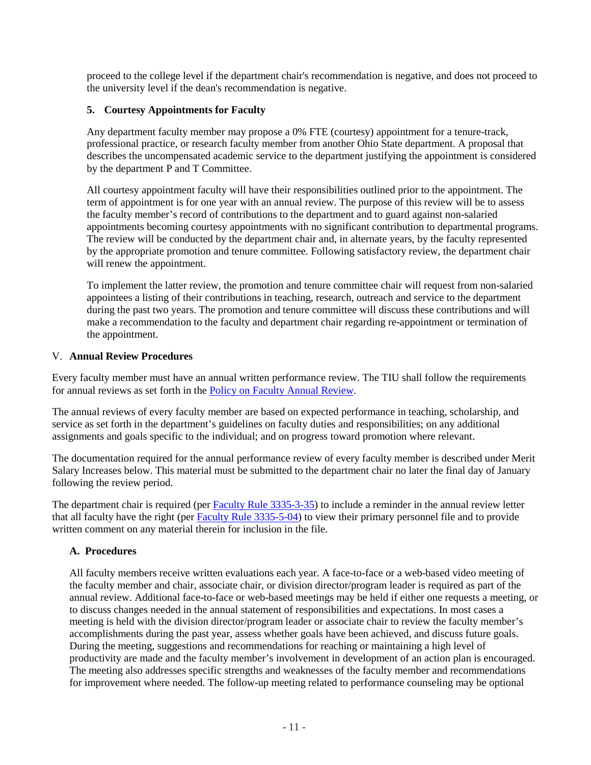proceed to the college level if the department chair's recommendation is negative, and does not proceed to the university level if the dean's recommendation is negative.

# <span id="page-10-0"></span>**5. Courtesy Appointments for Faculty**

Any department faculty member may propose a 0% FTE (courtesy) appointment for a tenure-track, professional practice, or research faculty member from another Ohio State department. A proposal that describes the uncompensated academic service to the department justifying the appointment is considered by the department P and T Committee.

All courtesy appointment faculty will have their responsibilities outlined prior to the appointment. The term of appointment is for one year with an annual review. The purpose of this review will be to assess the faculty member's record of contributions to the department and to guard against non-salaried appointments becoming courtesy appointments with no significant contribution to departmental programs. The review will be conducted by the department chair and, in alternate years, by the faculty represented by the appropriate promotion and tenure committee. Following satisfactory review, the department chair will renew the appointment.

To implement the latter review, the promotion and tenure committee chair will request from non-salaried appointees a listing of their contributions in teaching, research, outreach and service to the department during the past two years. The promotion and tenure committee will discuss these contributions and will make a recommendation to the faculty and department chair regarding re-appointment or termination of the appointment.

# <span id="page-10-1"></span>V. **Annual Review Procedures**

Every faculty member must have an annual written performance review. The TIU shall follow the requirements for annual reviews as set forth in the [Policy on Faculty Annual Review.](https://oaa.osu.edu/sites/default/files/links_files/annualreview_0.pdf)

The annual reviews of every faculty member are based on expected performance in teaching, scholarship, and service as set forth in the department's guidelines on faculty duties and responsibilities; on any additional assignments and goals specific to the individual; and on progress toward promotion where relevant.

The documentation required for the annual performance review of every faculty member is described under Merit Salary Increases below. This material must be submitted to the department chair no later the final day of January following the review period.

The department chair is required (per [Faculty Rule 3335-3-35\)](https://trustees.osu.edu/rules/university-rules/chapter-3335-3-administration.html) to include a reminder in the annual review letter that all faculty have the right (per [Faculty Rule 3335-5-04\)](https://trustees.osu.edu/rules/university-rules/chapter-3335-5-faculty-governance-and-committees.html) to view their primary personnel file and to provide written comment on any material therein for inclusion in the file.

# <span id="page-10-2"></span>**A. Procedures**

All faculty members receive written evaluations each year. A face-to-face or a web-based video meeting of the faculty member and chair, associate chair, or division director/program leader is required as part of the annual review. Additional face-to-face or web-based meetings may be held if either one requests a meeting, or to discuss changes needed in the annual statement of responsibilities and expectations. In most cases a meeting is held with the division director/program leader or associate chair to review the faculty member's accomplishments during the past year, assess whether goals have been achieved, and discuss future goals. During the meeting, suggestions and recommendations for reaching or maintaining a high level of productivity are made and the faculty member's involvement in development of an action plan is encouraged. The meeting also addresses specific strengths and weaknesses of the faculty member and recommendations for improvement where needed. The follow-up meeting related to performance counseling may be optional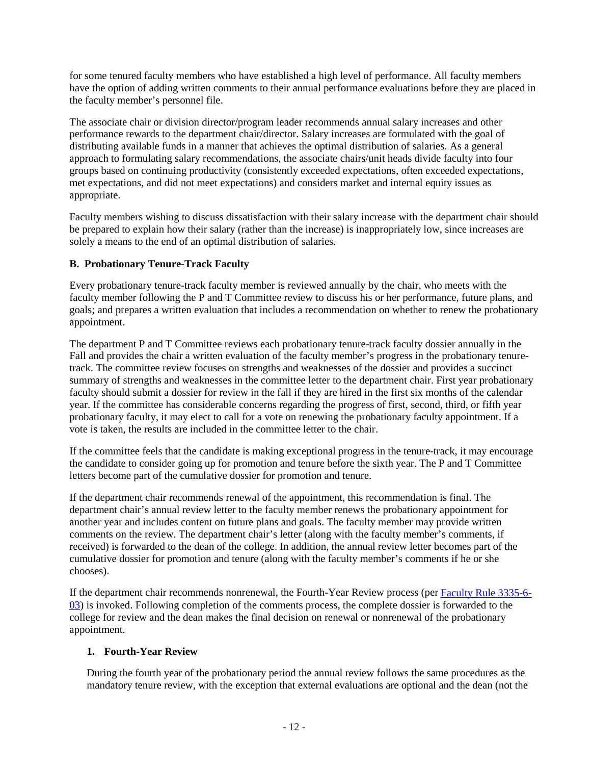for some tenured faculty members who have established a high level of performance. All faculty members have the option of adding written comments to their annual performance evaluations before they are placed in the faculty member's personnel file.

The associate chair or division director/program leader recommends annual salary increases and other performance rewards to the department chair/director. Salary increases are formulated with the goal of distributing available funds in a manner that achieves the optimal distribution of salaries. As a general approach to formulating salary recommendations, the associate chairs/unit heads divide faculty into four groups based on continuing productivity (consistently exceeded expectations, often exceeded expectations, met expectations, and did not meet expectations) and considers market and internal equity issues as appropriate.

Faculty members wishing to discuss dissatisfaction with their salary increase with the department chair should be prepared to explain how their salary (rather than the increase) is inappropriately low, since increases are solely a means to the end of an optimal distribution of salaries.

# <span id="page-11-0"></span>**B. Probationary Tenure-Track Faculty**

Every probationary tenure-track faculty member is reviewed annually by the chair, who meets with the faculty member following the P and T Committee review to discuss his or her performance, future plans, and goals; and prepares a written evaluation that includes a recommendation on whether to renew the probationary appointment.

The department P and T Committee reviews each probationary tenure-track faculty dossier annually in the Fall and provides the chair a written evaluation of the faculty member's progress in the probationary tenuretrack. The committee review focuses on strengths and weaknesses of the dossier and provides a succinct summary of strengths and weaknesses in the committee letter to the department chair. First year probationary faculty should submit a dossier for review in the fall if they are hired in the first six months of the calendar year. If the committee has considerable concerns regarding the progress of first, second, third, or fifth year probationary faculty, it may elect to call for a vote on renewing the probationary faculty appointment. If a vote is taken, the results are included in the committee letter to the chair.

If the committee feels that the candidate is making exceptional progress in the tenure-track, it may encourage the candidate to consider going up for promotion and tenure before the sixth year. The P and T Committee letters become part of the cumulative dossier for promotion and tenure.

If the department chair recommends renewal of the appointment, this recommendation is final. The department chair's annual review letter to the faculty member renews the probationary appointment for another year and includes content on future plans and goals. The faculty member may provide written comments on the review. The department chair's letter (along with the faculty member's comments, if received) is forwarded to the dean of the college. In addition, the annual review letter becomes part of the cumulative dossier for promotion and tenure (along with the faculty member's comments if he or she chooses).

If the department chair recommends nonrenewal, the Fourth-Year Review process (per [Faculty Rule 3335-6-](https://trustees.osu.edu/rules/university-rules/chapter-3335-6-rules-of-the-university-faculty-concerning-faculty-appointments-reappointments-promotion-and-tenure.html) [03\)](https://trustees.osu.edu/rules/university-rules/chapter-3335-6-rules-of-the-university-faculty-concerning-faculty-appointments-reappointments-promotion-and-tenure.html) is invoked. Following completion of the comments process, the complete dossier is forwarded to the college for review and the dean makes the final decision on renewal or nonrenewal of the probationary appointment.

# <span id="page-11-1"></span>**1. Fourth-Year Review**

During the fourth year of the probationary period the annual review follows the same procedures as the mandatory tenure review, with the exception that external evaluations are optional and the dean (not the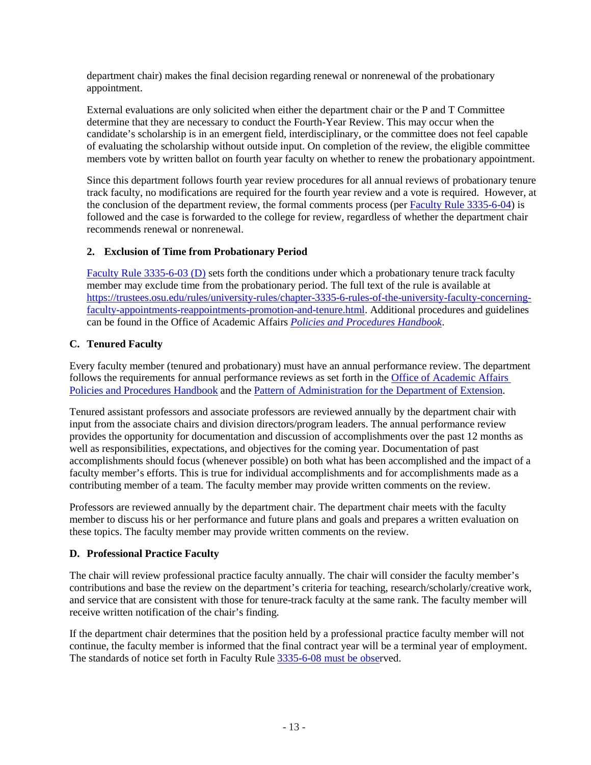department chair) makes the final decision regarding renewal or nonrenewal of the probationary appointment.

External evaluations are only solicited when either the department chair or the P and T Committee determine that they are necessary to conduct the Fourth-Year Review. This may occur when the candidate's scholarship is in an emergent field, interdisciplinary, or the committee does not feel capable of evaluating the scholarship without outside input. On completion of the review, the eligible committee members vote by written ballot on fourth year faculty on whether to renew the probationary appointment.

Since this department follows fourth year review procedures for all annual reviews of probationary tenure track faculty, no modifications are required for the fourth year review and a vote is required. However, at the conclusion of the department review, the formal comments process (per [Faculty Rule 3335-6-04\)](https://trustees.osu.edu/rules/university-rules/chapter-3335-6-rules-of-the-university-faculty-concerning-faculty-appointments-reappointments-promotion-and-tenure.html) is followed and the case is forwarded to the college for review, regardless of whether the department chair recommends renewal or nonrenewal.

# <span id="page-12-0"></span>**2. Exclusion of Time from Probationary Period**

[Faculty Rule 3335-6-03 \(D\)](https://trustees.osu.edu/rules/university-rules/chapter-3335-6-rules-of-the-university-faculty-concerning-faculty-appointments-reappointments-promotion-and-tenure.html) sets forth the conditions under which a probationary tenure track faculty member may exclude time from the probationary period. The full text of the rule is available at [https://trustees.osu.edu/rules/university-rules/chapter-3335-6-rules-of-the-university-faculty-concerning](https://trustees.osu.edu/rules/university-rules/chapter-3335-6-rules-of-the-university-faculty-concerning-faculty-appointments-reappointments-promotion-and-tenure.html)[faculty-appointments-reappointments-promotion-and-tenure.html.](https://trustees.osu.edu/rules/university-rules/chapter-3335-6-rules-of-the-university-faculty-concerning-faculty-appointments-reappointments-promotion-and-tenure.html) Additional procedures and guidelines can be found in the Office of Academic Affairs *[Policies and Procedures Handbook](http://oaa.osu.edu/sites/default/files/uploads/handbooks/policies-and-procedures/full-handbook.pdf)*.

# <span id="page-12-1"></span>**C. Tenured Faculty**

Every faculty member (tenured and probationary) must have an annual performance review. The department follows the requirements for annual performance reviews as set forth in the [Office of Academic Affairs](https://oaa.osu.edu/policies-and-procedures-handbook)  [Policies and Procedures Handbook](https://oaa.osu.edu/policies-and-procedures-handbook) and the [Pattern of Administration for the Department of Extension.](https://extension.osu.edu/policy-and-procedures-handbook/ii-administrative-and-program-resources)

Tenured assistant professors and associate professors are reviewed annually by the department chair with input from the associate chairs and division directors/program leaders. The annual performance review provides the opportunity for documentation and discussion of accomplishments over the past 12 months as well as responsibilities, expectations, and objectives for the coming year. Documentation of past accomplishments should focus (whenever possible) on both what has been accomplished and the impact of a faculty member's efforts. This is true for individual accomplishments and for accomplishments made as a contributing member of a team. The faculty member may provide written comments on the review.

Professors are reviewed annually by the department chair. The department chair meets with the faculty member to discuss his or her performance and future plans and goals and prepares a written evaluation on these topics. The faculty member may provide written comments on the review.

# <span id="page-12-2"></span>**D. Professional Practice Faculty**

The chair will review professional practice faculty annually. The chair will consider the faculty member's contributions and base the review on the department's criteria for teaching, research/scholarly/creative work, and service that are consistent with those for tenure-track faculty at the same rank. The faculty member will receive written notification of the chair's finding.

If the department chair determines that the position held by a professional practice faculty member will not continue, the faculty member is informed that the final contract year will be a terminal year of employment. The standards of notice set forth in Faculty Rule  $3335-6-08$  must be observed.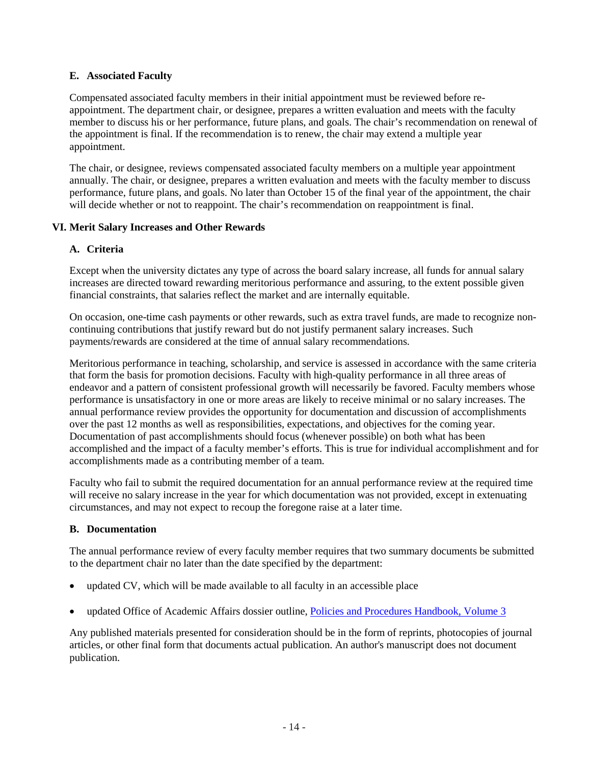## <span id="page-13-0"></span>**E. Associated Faculty**

Compensated associated faculty members in their initial appointment must be reviewed before reappointment. The department chair, or designee, prepares a written evaluation and meets with the faculty member to discuss his or her performance, future plans, and goals. The chair's recommendation on renewal of the appointment is final. If the recommendation is to renew, the chair may extend a multiple year appointment.

The chair, or designee, reviews compensated associated faculty members on a multiple year appointment annually. The chair, or designee, prepares a written evaluation and meets with the faculty member to discuss performance, future plans, and goals. No later than October 15 of the final year of the appointment, the chair will decide whether or not to reappoint. The chair's recommendation on reappointment is final.

## <span id="page-13-1"></span>**VI. Merit Salary Increases and Other Rewards**

## <span id="page-13-2"></span>**A. Criteria**

Except when the university dictates any type of across the board salary increase, all funds for annual salary increases are directed toward rewarding meritorious performance and assuring, to the extent possible given financial constraints, that salaries reflect the market and are internally equitable.

On occasion, one-time cash payments or other rewards, such as extra travel funds, are made to recognize noncontinuing contributions that justify reward but do not justify permanent salary increases. Such payments/rewards are considered at the time of annual salary recommendations.

Meritorious performance in teaching, scholarship, and service is assessed in accordance with the same criteria that form the basis for promotion decisions. Faculty with high-quality performance in all three areas of endeavor and a pattern of consistent professional growth will necessarily be favored. Faculty members whose performance is unsatisfactory in one or more areas are likely to receive minimal or no salary increases. The annual performance review provides the opportunity for documentation and discussion of accomplishments over the past 12 months as well as responsibilities, expectations, and objectives for the coming year. Documentation of past accomplishments should focus (whenever possible) on both what has been accomplished and the impact of a faculty member's efforts. This is true for individual accomplishment and for accomplishments made as a contributing member of a team.

Faculty who fail to submit the required documentation for an annual performance review at the required time will receive no salary increase in the year for which documentation was not provided, except in extenuating circumstances, and may not expect to recoup the foregone raise at a later time.

#### <span id="page-13-3"></span>**B. Documentation**

The annual performance review of every faculty member requires that two summary documents be submitted to the department chair no later than the date specified by the department:

- updated CV, which will be made available to all faculty in an accessible place
- updated Office of Academic Affairs dossier outline, [Policies and Procedures Handbook, Volume 3](https://oaa.osu.edu/sites/default/files/uploads/handbooks/policies-and-procedures/3HBPT.pdf)

Any published materials presented for consideration should be in the form of reprints, photocopies of journal articles, or other final form that documents actual publication. An author's manuscript does not document publication.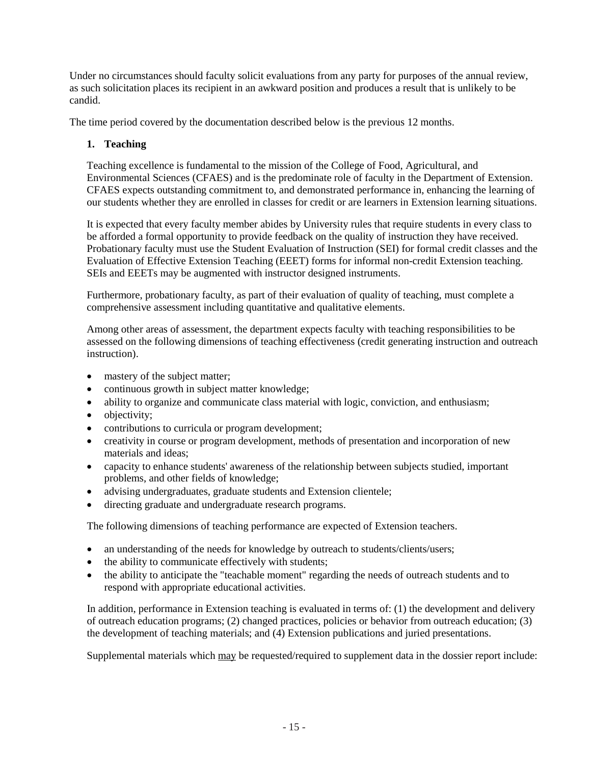Under no circumstances should faculty solicit evaluations from any party for purposes of the annual review, as such solicitation places its recipient in an awkward position and produces a result that is unlikely to be candid.

<span id="page-14-0"></span>The time period covered by the documentation described below is the previous 12 months.

# **1. Teaching**

Teaching excellence is fundamental to the mission of the College of Food, Agricultural, and Environmental Sciences (CFAES) and is the predominate role of faculty in the Department of Extension. CFAES expects outstanding commitment to, and demonstrated performance in, enhancing the learning of our students whether they are enrolled in classes for credit or are learners in Extension learning situations.

It is expected that every faculty member abides by University rules that require students in every class to be afforded a formal opportunity to provide feedback on the quality of instruction they have received. Probationary faculty must use the Student Evaluation of Instruction (SEI) for formal credit classes and the Evaluation of Effective Extension Teaching (EEET) forms for informal non-credit Extension teaching. SEIs and EEETs may be augmented with instructor designed instruments.

Furthermore, probationary faculty, as part of their evaluation of quality of teaching, must complete a comprehensive assessment including quantitative and qualitative elements.

Among other areas of assessment, the department expects faculty with teaching responsibilities to be assessed on the following dimensions of teaching effectiveness (credit generating instruction and outreach instruction).

- mastery of the subject matter;
- continuous growth in subject matter knowledge;
- ability to organize and communicate class material with logic, conviction, and enthusiasm;
- objectivity;
- contributions to curricula or program development;
- creativity in course or program development, methods of presentation and incorporation of new materials and ideas;
- capacity to enhance students' awareness of the relationship between subjects studied, important problems, and other fields of knowledge;
- advising undergraduates, graduate students and Extension clientele;
- directing graduate and undergraduate research programs.

The following dimensions of teaching performance are expected of Extension teachers.

- an understanding of the needs for knowledge by outreach to students/clients/users;
- the ability to communicate effectively with students;
- the ability to anticipate the "teachable moment" regarding the needs of outreach students and to respond with appropriate educational activities.

In addition, performance in Extension teaching is evaluated in terms of: (1) the development and delivery of outreach education programs; (2) changed practices, policies or behavior from outreach education; (3) the development of teaching materials; and (4) Extension publications and juried presentations.

Supplemental materials which may be requested/required to supplement data in the dossier report include: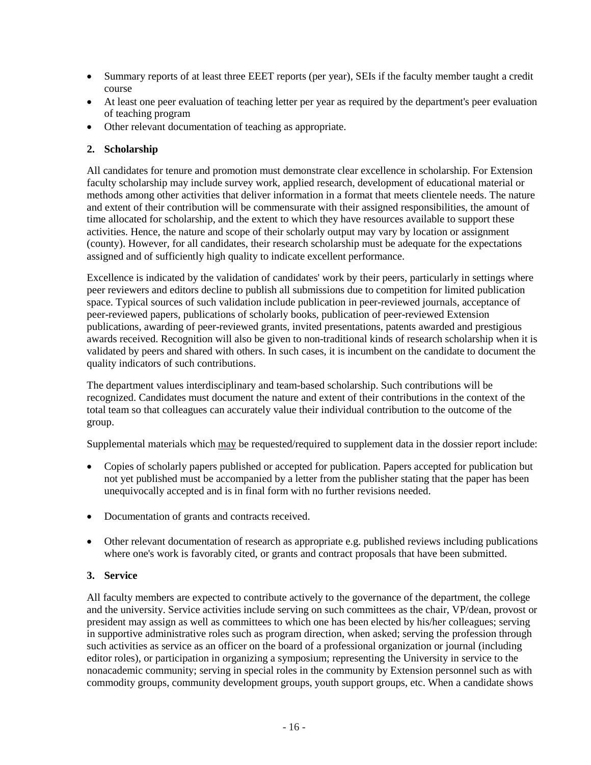- Summary reports of at least three EEET reports (per year), SEIs if the faculty member taught a credit course
- At least one peer evaluation of teaching letter per year as required by the department's peer evaluation of teaching program
- Other relevant documentation of teaching as appropriate.

# <span id="page-15-0"></span>**2. Scholarship**

All candidates for tenure and promotion must demonstrate clear excellence in scholarship. For Extension faculty scholarship may include survey work, applied research, development of educational material or methods among other activities that deliver information in a format that meets clientele needs. The nature and extent of their contribution will be commensurate with their assigned responsibilities, the amount of time allocated for scholarship, and the extent to which they have resources available to support these activities. Hence, the nature and scope of their scholarly output may vary by location or assignment (county). However, for all candidates, their research scholarship must be adequate for the expectations assigned and of sufficiently high quality to indicate excellent performance.

Excellence is indicated by the validation of candidates' work by their peers, particularly in settings where peer reviewers and editors decline to publish all submissions due to competition for limited publication space. Typical sources of such validation include publication in peer-reviewed journals, acceptance of peer-reviewed papers, publications of scholarly books, publication of peer-reviewed Extension publications, awarding of peer-reviewed grants, invited presentations, patents awarded and prestigious awards received. Recognition will also be given to non-traditional kinds of research scholarship when it is validated by peers and shared with others. In such cases, it is incumbent on the candidate to document the quality indicators of such contributions.

The department values interdisciplinary and team-based scholarship. Such contributions will be recognized. Candidates must document the nature and extent of their contributions in the context of the total team so that colleagues can accurately value their individual contribution to the outcome of the group.

Supplemental materials which may be requested/required to supplement data in the dossier report include:

- Copies of scholarly papers published or accepted for publication. Papers accepted for publication but not yet published must be accompanied by a letter from the publisher stating that the paper has been unequivocally accepted and is in final form with no further revisions needed.
- Documentation of grants and contracts received.
- Other relevant documentation of research as appropriate e.g. published reviews including publications where one's work is favorably cited, or grants and contract proposals that have been submitted.

# <span id="page-15-1"></span>**3. Service**

All faculty members are expected to contribute actively to the governance of the department, the college and the university. Service activities include serving on such committees as the chair, VP/dean, provost or president may assign as well as committees to which one has been elected by his/her colleagues; serving in supportive administrative roles such as program direction, when asked; serving the profession through such activities as service as an officer on the board of a professional organization or journal (including editor roles), or participation in organizing a symposium; representing the University in service to the nonacademic community; serving in special roles in the community by Extension personnel such as with commodity groups, community development groups, youth support groups, etc. When a candidate shows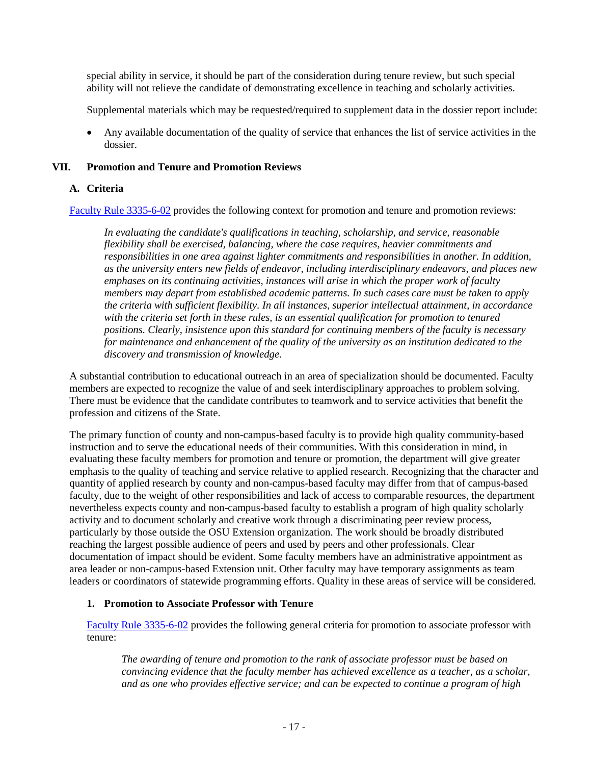special ability in service, it should be part of the consideration during tenure review, but such special ability will not relieve the candidate of demonstrating excellence in teaching and scholarly activities.

Supplemental materials which may be requested/required to supplement data in the dossier report include:

• Any available documentation of the quality of service that enhances the list of service activities in the dossier.

## <span id="page-16-0"></span>**VII. Promotion and Tenure and Promotion Reviews**

## <span id="page-16-1"></span>**A. Criteria**

[Faculty Rule 3335-6-02](https://trustees.osu.edu/rules/university-rules/chapter-3335-6-rules-of-the-university-faculty-concerning-faculty-appointments-reappointments-promotion-and-tenure.html) provides the following context for promotion and tenure and promotion reviews:

*In evaluating the candidate's qualifications in teaching, scholarship, and service, reasonable flexibility shall be exercised, balancing, where the case requires, heavier commitments and responsibilities in one area against lighter commitments and responsibilities in another. In addition, as the university enters new fields of endeavor, including interdisciplinary endeavors, and places new emphases on its continuing activities, instances will arise in which the proper work of faculty members may depart from established academic patterns. In such cases care must be taken to apply the criteria with sufficient flexibility. In all instances, superior intellectual attainment, in accordance with the criteria set forth in these rules, is an essential qualification for promotion to tenured positions. Clearly, insistence upon this standard for continuing members of the faculty is necessary for maintenance and enhancement of the quality of the university as an institution dedicated to the discovery and transmission of knowledge.*

A substantial contribution to educational outreach in an area of specialization should be documented. Faculty members are expected to recognize the value of and seek interdisciplinary approaches to problem solving. There must be evidence that the candidate contributes to teamwork and to service activities that benefit the profession and citizens of the State.

The primary function of county and non-campus-based faculty is to provide high quality community-based instruction and to serve the educational needs of their communities. With this consideration in mind, in evaluating these faculty members for promotion and tenure or promotion, the department will give greater emphasis to the quality of teaching and service relative to applied research. Recognizing that the character and quantity of applied research by county and non-campus-based faculty may differ from that of campus-based faculty, due to the weight of other responsibilities and lack of access to comparable resources, the department nevertheless expects county and non-campus-based faculty to establish a program of high quality scholarly activity and to document scholarly and creative work through a discriminating peer review process, particularly by those outside the OSU Extension organization. The work should be broadly distributed reaching the largest possible audience of peers and used by peers and other professionals. Clear documentation of impact should be evident. Some faculty members have an administrative appointment as area leader or non-campus-based Extension unit. Other faculty may have temporary assignments as team leaders or coordinators of statewide programming efforts. Quality in these areas of service will be considered.

#### <span id="page-16-2"></span>**1. Promotion to Associate Professor with Tenure**

[Faculty Rule 3335-6-02](https://trustees.osu.edu/rules/university-rules/chapter-3335-6-rules-of-the-university-faculty-concerning-faculty-appointments-reappointments-promotion-and-tenure.html) provides the following general criteria for promotion to associate professor with tenure:

*The awarding of tenure and promotion to the rank of associate professor must be based on convincing evidence that the faculty member has achieved excellence as a teacher, as a scholar, and as one who provides effective service; and can be expected to continue a program of high*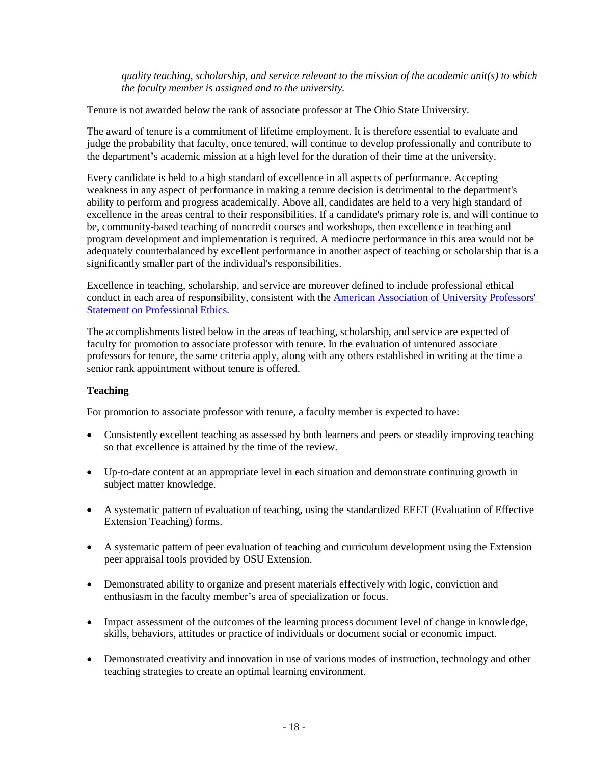*quality teaching, scholarship, and service relevant to the mission of the academic unit(s) to which the faculty member is assigned and to the university.*

Tenure is not awarded below the rank of associate professor at The Ohio State University.

The award of tenure is a commitment of lifetime employment. It is therefore essential to evaluate and judge the probability that faculty, once tenured, will continue to develop professionally and contribute to the department's academic mission at a high level for the duration of their time at the university.

Every candidate is held to a high standard of excellence in all aspects of performance. Accepting weakness in any aspect of performance in making a tenure decision is detrimental to the department's ability to perform and progress academically. Above all, candidates are held to a very high standard of excellence in the areas central to their responsibilities. If a candidate's primary role is, and will continue to be, community-based teaching of noncredit courses and workshops, then excellence in teaching and program development and implementation is required. A mediocre performance in this area would not be adequately counterbalanced by excellent performance in another aspect of teaching or scholarship that is a significantly smaller part of the individual's responsibilities.

Excellence in teaching, scholarship, and service are moreover defined to include professional ethical conduct in each area of responsibility, consistent with the [American Association of University Professors'](http://www.aaup.org/report/statement-professional-ethics)  [Statement on Professional Ethics.](http://www.aaup.org/report/statement-professional-ethics)

The accomplishments listed below in the areas of teaching, scholarship, and service are expected of faculty for promotion to associate professor with tenure. In the evaluation of untenured associate professors for tenure, the same criteria apply, along with any others established in writing at the time a senior rank appointment without tenure is offered.

# **Teaching**

For promotion to associate professor with tenure, a faculty member is expected to have:

- Consistently excellent teaching as assessed by both learners and peers or steadily improving teaching so that excellence is attained by the time of the review.
- Up-to-date content at an appropriate level in each situation and demonstrate continuing growth in subject matter knowledge.
- A systematic pattern of evaluation of teaching, using the standardized EEET (Evaluation of Effective Extension Teaching) forms.
- A systematic pattern of peer evaluation of teaching and curriculum development using the Extension peer appraisal tools provided by OSU Extension.
- Demonstrated ability to organize and present materials effectively with logic, conviction and enthusiasm in the faculty member's area of specialization or focus.
- Impact assessment of the outcomes of the learning process document level of change in knowledge, skills, behaviors, attitudes or practice of individuals or document social or economic impact.
- Demonstrated creativity and innovation in use of various modes of instruction, technology and other teaching strategies to create an optimal learning environment.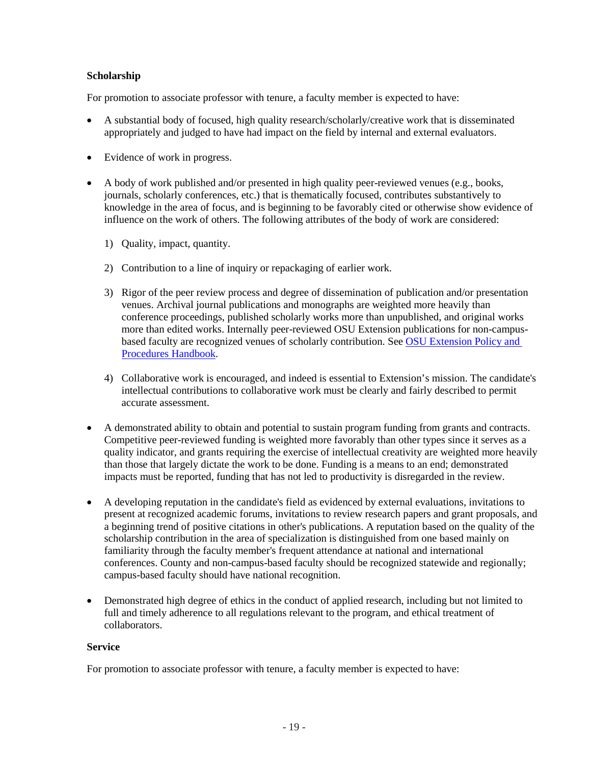## **Scholarship**

For promotion to associate professor with tenure, a faculty member is expected to have:

- A substantial body of focused, high quality research/scholarly/creative work that is disseminated appropriately and judged to have had impact on the field by internal and external evaluators.
- Evidence of work in progress.
- A body of work published and/or presented in high quality peer-reviewed venues (e.g., books, journals, scholarly conferences, etc.) that is thematically focused, contributes substantively to knowledge in the area of focus, and is beginning to be favorably cited or otherwise show evidence of influence on the work of others. The following attributes of the body of work are considered:
	- 1) Quality, impact, quantity.
	- 2) Contribution to a line of inquiry or repackaging of earlier work.
	- 3) Rigor of the peer review process and degree of dissemination of publication and/or presentation venues. Archival journal publications and monographs are weighted more heavily than conference proceedings, published scholarly works more than unpublished, and original works more than edited works. Internally peer-reviewed OSU Extension publications for non-campusbased faculty are recognized venues of scholarly contribution. See [OSU Extension Policy and](https://extension.osu.edu/policy-and-procedures-handbook/i-administration-policies/review-process-osu-extension-educational)  [Procedures Handbook.](https://extension.osu.edu/policy-and-procedures-handbook/i-administration-policies/review-process-osu-extension-educational)
	- 4) Collaborative work is encouraged, and indeed is essential to Extension's mission. The candidate's intellectual contributions to collaborative work must be clearly and fairly described to permit accurate assessment.
- A demonstrated ability to obtain and potential to sustain program funding from grants and contracts. Competitive peer-reviewed funding is weighted more favorably than other types since it serves as a quality indicator, and grants requiring the exercise of intellectual creativity are weighted more heavily than those that largely dictate the work to be done. Funding is a means to an end; demonstrated impacts must be reported, funding that has not led to productivity is disregarded in the review.
- A developing reputation in the candidate's field as evidenced by external evaluations, invitations to present at recognized academic forums, invitations to review research papers and grant proposals, and a beginning trend of positive citations in other's publications. A reputation based on the quality of the scholarship contribution in the area of specialization is distinguished from one based mainly on familiarity through the faculty member's frequent attendance at national and international conferences. County and non-campus-based faculty should be recognized statewide and regionally; campus-based faculty should have national recognition.
- Demonstrated high degree of ethics in the conduct of applied research, including but not limited to full and timely adherence to all regulations relevant to the program, and ethical treatment of collaborators.

#### **Service**

For promotion to associate professor with tenure, a faculty member is expected to have: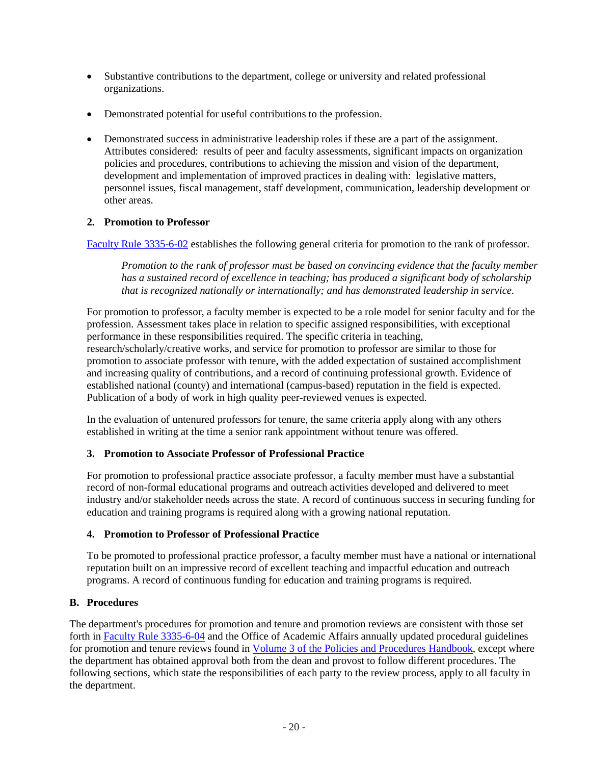- Substantive contributions to the department, college or university and related professional organizations.
- Demonstrated potential for useful contributions to the profession.
- Demonstrated success in administrative leadership roles if these are a part of the assignment. Attributes considered: results of peer and faculty assessments, significant impacts on organization policies and procedures, contributions to achieving the mission and vision of the department, development and implementation of improved practices in dealing with: legislative matters, personnel issues, fiscal management, staff development, communication, leadership development or other areas.

# <span id="page-19-0"></span>**2. Promotion to Professor**

[Faculty Rule 3335-6-02](https://trustees.osu.edu/rules/university-rules/chapter-3335-6-rules-of-the-university-faculty-concerning-faculty-appointments-reappointments-promotion-and-tenure.html) establishes the following general criteria for promotion to the rank of professor.

*Promotion to the rank of professor must be based on convincing evidence that the faculty member has a sustained record of excellence in teaching; has produced a significant body of scholarship that is recognized nationally or internationally; and has demonstrated leadership in service.*

For promotion to professor, a faculty member is expected to be a role model for senior faculty and for the profession. Assessment takes place in relation to specific assigned responsibilities, with exceptional performance in these responsibilities required. The specific criteria in teaching, research/scholarly/creative works, and service for promotion to professor are similar to those for promotion to associate professor with tenure, with the added expectation of sustained accomplishment and increasing quality of contributions, and a record of continuing professional growth. Evidence of established national (county) and international (campus-based) reputation in the field is expected. Publication of a body of work in high quality peer-reviewed venues is expected.

In the evaluation of untenured professors for tenure, the same criteria apply along with any others established in writing at the time a senior rank appointment without tenure was offered.

# <span id="page-19-1"></span>**3. Promotion to Associate Professor of Professional Practice**

For promotion to professional practice associate professor, a faculty member must have a substantial record of non-formal educational programs and outreach activities developed and delivered to meet industry and/or stakeholder needs across the state. A record of continuous success in securing funding for education and training programs is required along with a growing national reputation.

# <span id="page-19-2"></span>**4. Promotion to Professor of Professional Practice**

To be promoted to professional practice professor, a faculty member must have a national or international reputation built on an impressive record of excellent teaching and impactful education and outreach programs. A record of continuous funding for education and training programs is required.

# <span id="page-19-3"></span>**B. Procedures**

The department's procedures for promotion and tenure and promotion reviews are consistent with those set forth in [Faculty Rule 3335-6-04](https://trustees.osu.edu/rules/university-rules/chapter-3335-6-rules-of-the-university-faculty-concerning-faculty-appointments-reappointments-promotion-and-tenure.html) and the Office of Academic Affairs annually updated procedural guidelines for promotion and tenure reviews found i[n Volume 3 of the Policies and Procedures Handbook,](https://oaa.osu.edu/sites/default/files/uploads/handbooks/policies-and-procedures/3HBPT.pdf) except where the department has obtained approval both from the dean and provost to follow different procedures. The following sections, which state the responsibilities of each party to the review process, apply to all faculty in the department.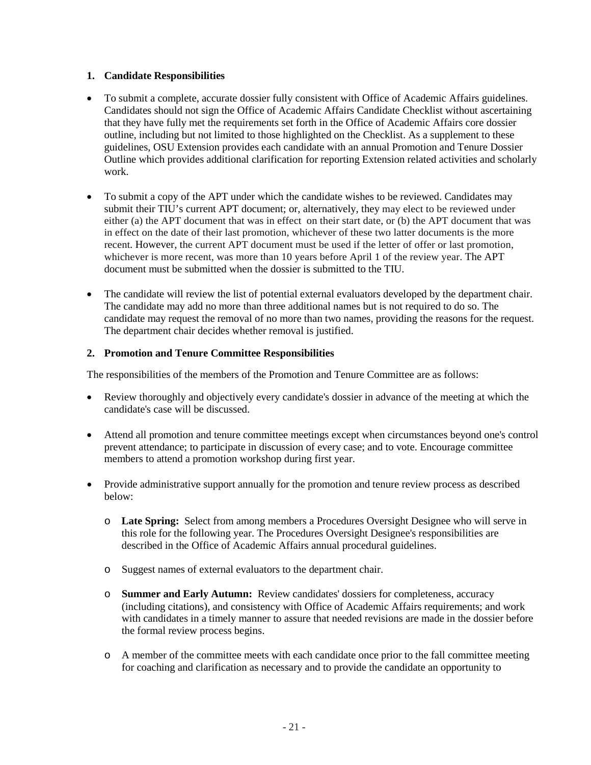## <span id="page-20-0"></span>**1. Candidate Responsibilities**

- To submit a complete, accurate dossier fully consistent with Office of Academic Affairs guidelines. Candidates should not sign the Office of Academic Affairs Candidate Checklist without ascertaining that they have fully met the requirements set forth in the Office of Academic Affairs core dossier outline, including but not limited to those highlighted on the Checklist. As a supplement to these guidelines, OSU Extension provides each candidate with an annual Promotion and Tenure Dossier Outline which provides additional clarification for reporting Extension related activities and scholarly work.
- To submit a copy of the APT under which the candidate wishes to be reviewed. Candidates may submit their TIU's current APT document; or, alternatively, they may elect to be reviewed under either (a) the APT document that was in effect on their start date, or (b) the APT document that was in effect on the date of their last promotion, whichever of these two latter documents is the more recent. However, the current APT document must be used if the letter of offer or last promotion, whichever is more recent, was more than 10 years before April 1 of the review year. The APT document must be submitted when the dossier is submitted to the TIU.
- The candidate will review the list of potential external evaluators developed by the department chair. The candidate may add no more than three additional names but is not required to do so. The candidate may request the removal of no more than two names, providing the reasons for the request. The department chair decides whether removal is justified.

## <span id="page-20-1"></span>**2. Promotion and Tenure Committee Responsibilities**

The responsibilities of the members of the Promotion and Tenure Committee are as follows:

- Review thoroughly and objectively every candidate's dossier in advance of the meeting at which the candidate's case will be discussed.
- Attend all promotion and tenure committee meetings except when circumstances beyond one's control prevent attendance; to participate in discussion of every case; and to vote. Encourage committee members to attend a promotion workshop during first year.
- Provide administrative support annually for the promotion and tenure review process as described below:
	- o **Late Spring:** Select from among members a Procedures Oversight Designee who will serve in this role for the following year. The Procedures Oversight Designee's responsibilities are described in the Office of Academic Affairs annual procedural guidelines.
	- o Suggest names of external evaluators to the department chair.
	- o **Summer and Early Autumn:** Review candidates' dossiers for completeness, accuracy (including citations), and consistency with Office of Academic Affairs requirements; and work with candidates in a timely manner to assure that needed revisions are made in the dossier before the formal review process begins.
	- o A member of the committee meets with each candidate once prior to the fall committee meeting for coaching and clarification as necessary and to provide the candidate an opportunity to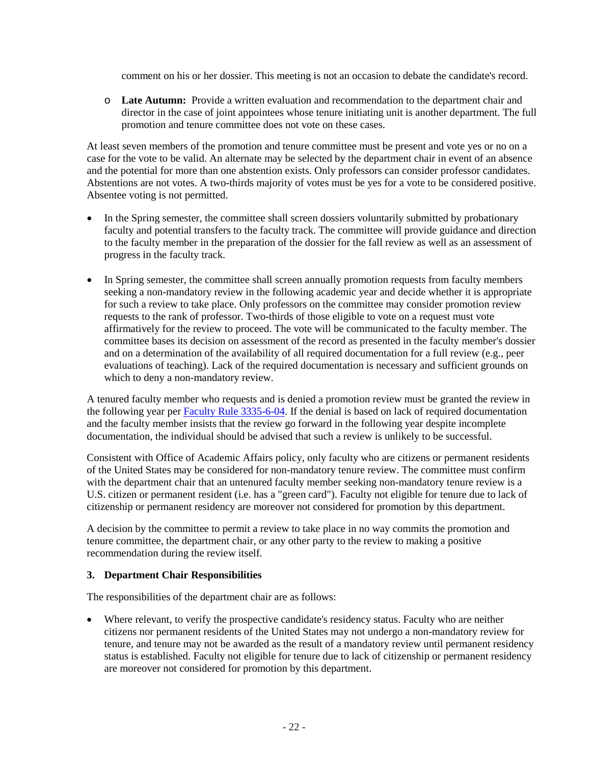comment on his or her dossier. This meeting is not an occasion to debate the candidate's record.

o **Late Autumn:** Provide a written evaluation and recommendation to the department chair and director in the case of joint appointees whose tenure initiating unit is another department. The full promotion and tenure committee does not vote on these cases.

At least seven members of the promotion and tenure committee must be present and vote yes or no on a case for the vote to be valid. An alternate may be selected by the department chair in event of an absence and the potential for more than one abstention exists. Only professors can consider professor candidates. Abstentions are not votes. A two-thirds majority of votes must be yes for a vote to be considered positive. Absentee voting is not permitted.

- In the Spring semester, the committee shall screen dossiers voluntarily submitted by probationary faculty and potential transfers to the faculty track. The committee will provide guidance and direction to the faculty member in the preparation of the dossier for the fall review as well as an assessment of progress in the faculty track.
- In Spring semester, the committee shall screen annually promotion requests from faculty members seeking a non-mandatory review in the following academic year and decide whether it is appropriate for such a review to take place. Only professors on the committee may consider promotion review requests to the rank of professor. Two-thirds of those eligible to vote on a request must vote affirmatively for the review to proceed. The vote will be communicated to the faculty member. The committee bases its decision on assessment of the record as presented in the faculty member's dossier and on a determination of the availability of all required documentation for a full review (e.g., peer evaluations of teaching). Lack of the required documentation is necessary and sufficient grounds on which to deny a non-mandatory review.

A tenured faculty member who requests and is denied a promotion review must be granted the review in the following year per [Faculty Rule](https://trustees.osu.edu/rules/university-rules/chapter-3335-6-rules-of-the-university-faculty-concerning-faculty-appointments-reappointments-promotion-and-tenure.html) 3335-6-04. If the denial is based on lack of required documentation and the faculty member insists that the review go forward in the following year despite incomplete documentation, the individual should be advised that such a review is unlikely to be successful.

Consistent with Office of Academic Affairs policy, only faculty who are citizens or permanent residents of the United States may be considered for non-mandatory tenure review. The committee must confirm with the department chair that an untenured faculty member seeking non-mandatory tenure review is a U.S. citizen or permanent resident (i.e. has a "green card"). Faculty not eligible for tenure due to lack of citizenship or permanent residency are moreover not considered for promotion by this department.

A decision by the committee to permit a review to take place in no way commits the promotion and tenure committee, the department chair, or any other party to the review to making a positive recommendation during the review itself.

#### <span id="page-21-0"></span>**3. Department Chair Responsibilities**

The responsibilities of the department chair are as follows:

• Where relevant, to verify the prospective candidate's residency status. Faculty who are neither citizens nor permanent residents of the United States may not undergo a non-mandatory review for tenure, and tenure may not be awarded as the result of a mandatory review until permanent residency status is established. Faculty not eligible for tenure due to lack of citizenship or permanent residency are moreover not considered for promotion by this department.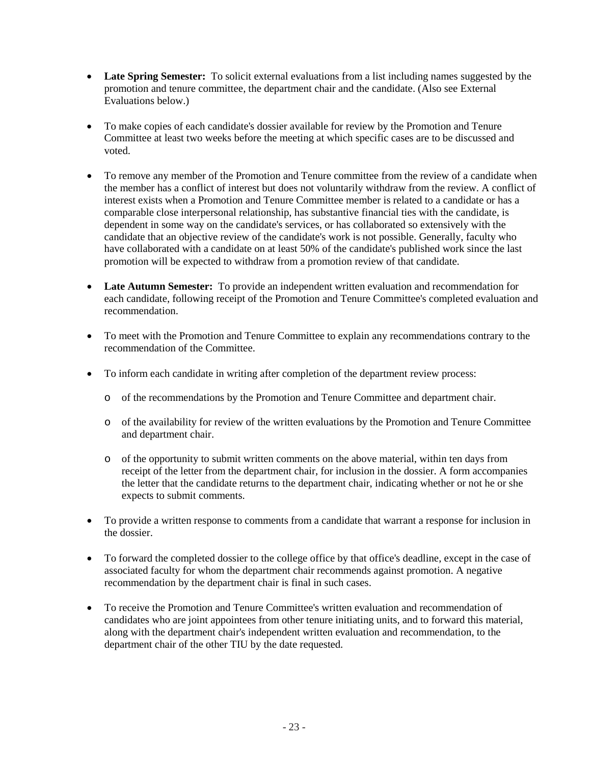- Late Spring Semester: To solicit external evaluations from a list including names suggested by the promotion and tenure committee, the department chair and the candidate. (Also see External Evaluations below.)
- To make copies of each candidate's dossier available for review by the Promotion and Tenure Committee at least two weeks before the meeting at which specific cases are to be discussed and voted.
- To remove any member of the Promotion and Tenure committee from the review of a candidate when the member has a conflict of interest but does not voluntarily withdraw from the review. A conflict of interest exists when a Promotion and Tenure Committee member is related to a candidate or has a comparable close interpersonal relationship, has substantive financial ties with the candidate, is dependent in some way on the candidate's services, or has collaborated so extensively with the candidate that an objective review of the candidate's work is not possible. Generally, faculty who have collaborated with a candidate on at least 50% of the candidate's published work since the last promotion will be expected to withdraw from a promotion review of that candidate.
- **Late Autumn Semester:** To provide an independent written evaluation and recommendation for each candidate, following receipt of the Promotion and Tenure Committee's completed evaluation and recommendation.
- To meet with the Promotion and Tenure Committee to explain any recommendations contrary to the recommendation of the Committee.
- To inform each candidate in writing after completion of the department review process:
	- o of the recommendations by the Promotion and Tenure Committee and department chair.
	- o of the availability for review of the written evaluations by the Promotion and Tenure Committee and department chair.
	- o of the opportunity to submit written comments on the above material, within ten days from receipt of the letter from the department chair, for inclusion in the dossier. A form accompanies the letter that the candidate returns to the department chair, indicating whether or not he or she expects to submit comments.
- To provide a written response to comments from a candidate that warrant a response for inclusion in the dossier.
- To forward the completed dossier to the college office by that office's deadline, except in the case of associated faculty for whom the department chair recommends against promotion. A negative recommendation by the department chair is final in such cases.
- To receive the Promotion and Tenure Committee's written evaluation and recommendation of candidates who are joint appointees from other tenure initiating units, and to forward this material, along with the department chair's independent written evaluation and recommendation, to the department chair of the other TIU by the date requested.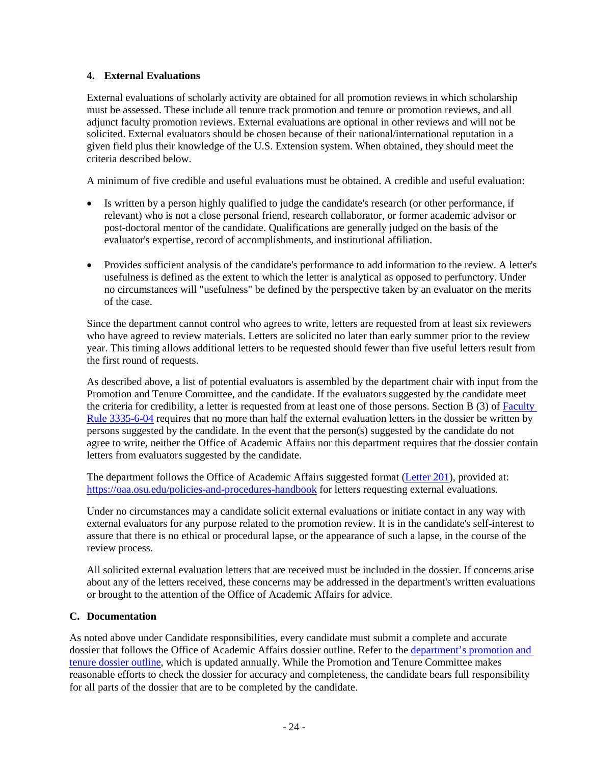## <span id="page-23-0"></span>**4. External Evaluations**

External evaluations of scholarly activity are obtained for all promotion reviews in which scholarship must be assessed. These include all tenure track promotion and tenure or promotion reviews, and all adjunct faculty promotion reviews. External evaluations are optional in other reviews and will not be solicited. External evaluators should be chosen because of their national/international reputation in a given field plus their knowledge of the U.S. Extension system. When obtained, they should meet the criteria described below.

A minimum of five credible and useful evaluations must be obtained. A credible and useful evaluation:

- Is written by a person highly qualified to judge the candidate's research (or other performance, if relevant) who is not a close personal friend, research collaborator, or former academic advisor or post-doctoral mentor of the candidate. Qualifications are generally judged on the basis of the evaluator's expertise, record of accomplishments, and institutional affiliation.
- Provides sufficient analysis of the candidate's performance to add information to the review. A letter's usefulness is defined as the extent to which the letter is analytical as opposed to perfunctory. Under no circumstances will "usefulness" be defined by the perspective taken by an evaluator on the merits of the case.

Since the department cannot control who agrees to write, letters are requested from at least six reviewers who have agreed to review materials. Letters are solicited no later than early summer prior to the review year. This timing allows additional letters to be requested should fewer than five useful letters result from the first round of requests.

As described above, a list of potential evaluators is assembled by the department chair with input from the Promotion and Tenure Committee, and the candidate. If the evaluators suggested by the candidate meet the criteria for credibility, a letter is requested from at least one of those persons. Section B (3) of [Faculty](https://trustees.osu.edu/rules/university-rules/chapter-3335-6-rules-of-the-university-faculty-concerning-faculty-appointments-reappointments-promotion-and-tenure.html)  [Rule 3335-6-04](https://trustees.osu.edu/rules/university-rules/chapter-3335-6-rules-of-the-university-faculty-concerning-faculty-appointments-reappointments-promotion-and-tenure.html) requires that no more than half the external evaluation letters in the dossier be written by persons suggested by the candidate. In the event that the person(s) suggested by the candidate do not agree to write, neither the Office of Academic Affairs nor this department requires that the dossier contain letters from evaluators suggested by the candidate.

The department follows the Office of Academic Affairs suggested format [\(Letter 201\)](https://oaa.osu.edu/sites/default/files/uploads/handbooks/policies-and-procedures/samples/letters/Letter201.doc), provided at: <https://oaa.osu.edu/policies-and-procedures-handbook> for letters requesting external evaluations.

Under no circumstances may a candidate solicit external evaluations or initiate contact in any way with external evaluators for any purpose related to the promotion review. It is in the candidate's self-interest to assure that there is no ethical or procedural lapse, or the appearance of such a lapse, in the course of the review process.

All solicited external evaluation letters that are received must be included in the dossier. If concerns arise about any of the letters received, these concerns may be addressed in the department's written evaluations or brought to the attention of the Office of Academic Affairs for advice.

## <span id="page-23-1"></span>**C. Documentation**

As noted above under Candidate responsibilities, every candidate must submit a complete and accurate dossier that follows the Office of Academic Affairs dossier outline. Refer to th[e department's promotion and](https://extension.osu.edu/policy-and-procedures-handbook/vi-promotion-and-tenure)  [tenure dossier outline,](https://extension.osu.edu/policy-and-procedures-handbook/vi-promotion-and-tenure) which is updated annually. While the Promotion and Tenure Committee makes reasonable efforts to check the dossier for accuracy and completeness, the candidate bears full responsibility for all parts of the dossier that are to be completed by the candidate.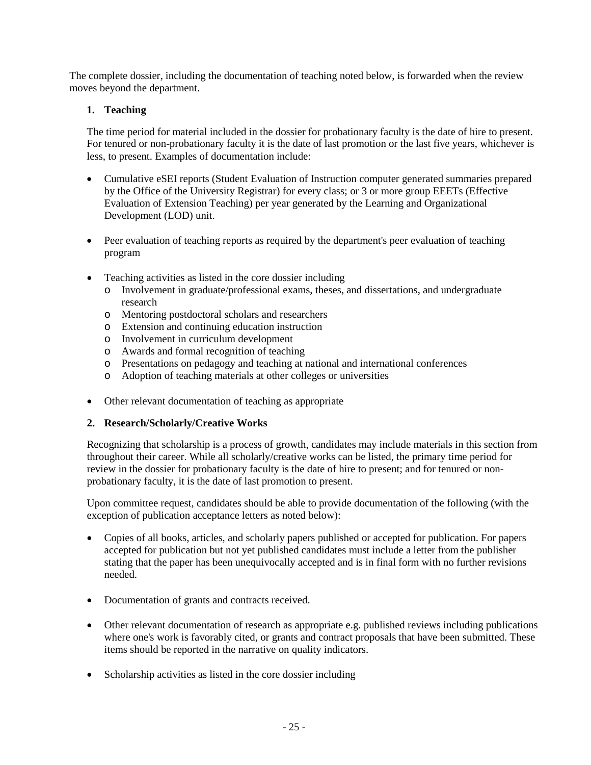The complete dossier, including the documentation of teaching noted below, is forwarded when the review moves beyond the department.

# <span id="page-24-0"></span>**1. Teaching**

The time period for material included in the dossier for probationary faculty is the date of hire to present. For tenured or non-probationary faculty it is the date of last promotion or the last five years, whichever is less, to present. Examples of documentation include:

- Cumulative eSEI reports (Student Evaluation of Instruction computer generated summaries prepared by the Office of the University Registrar) for every class; or 3 or more group EEETs (Effective Evaluation of Extension Teaching) per year generated by the Learning and Organizational Development (LOD) unit.
- Peer evaluation of teaching reports as required by the department's peer evaluation of teaching program
- Teaching activities as listed in the core dossier including
	- o Involvement in graduate/professional exams, theses, and dissertations, and undergraduate research
	- o Mentoring postdoctoral scholars and researchers
	- o Extension and continuing education instruction
	- o Involvement in curriculum development
	- o Awards and formal recognition of teaching
	- o Presentations on pedagogy and teaching at national and international conferences
	- o Adoption of teaching materials at other colleges or universities
- Other relevant documentation of teaching as appropriate

# <span id="page-24-1"></span>**2. Research/Scholarly/Creative Works**

Recognizing that scholarship is a process of growth, candidates may include materials in this section from throughout their career. While all scholarly/creative works can be listed, the primary time period for review in the dossier for probationary faculty is the date of hire to present; and for tenured or nonprobationary faculty, it is the date of last promotion to present.

Upon committee request, candidates should be able to provide documentation of the following (with the exception of publication acceptance letters as noted below):

- Copies of all books, articles, and scholarly papers published or accepted for publication. For papers accepted for publication but not yet published candidates must include a letter from the publisher stating that the paper has been unequivocally accepted and is in final form with no further revisions needed.
- Documentation of grants and contracts received.
- Other relevant documentation of research as appropriate e.g. published reviews including publications where one's work is favorably cited, or grants and contract proposals that have been submitted. These items should be reported in the narrative on quality indicators.
- Scholarship activities as listed in the core dossier including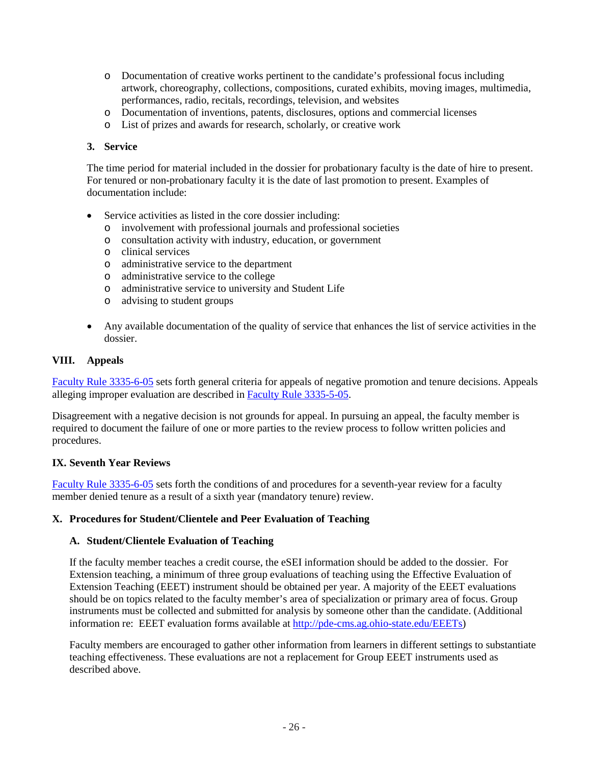- o Documentation of creative works pertinent to the candidate's professional focus including artwork, choreography, collections, compositions, curated exhibits, moving images, multimedia, performances, radio, recitals, recordings, television, and websites
- o Documentation of inventions, patents, disclosures, options and commercial licenses
- o List of prizes and awards for research, scholarly, or creative work

#### <span id="page-25-0"></span>**3. Service**

The time period for material included in the dossier for probationary faculty is the date of hire to present. For tenured or non-probationary faculty it is the date of last promotion to present. Examples of documentation include:

- Service activities as listed in the core dossier including:
	- o involvement with professional journals and professional societies
	- o consultation activity with industry, education, or government
	- o clinical services
	- o administrative service to the department
	- o administrative service to the college
	- o administrative service to university and Student Life
	- o advising to student groups
- Any available documentation of the quality of service that enhances the list of service activities in the dossier.

#### <span id="page-25-1"></span>**VIII. Appeals**

[Faculty Rule 3335-6-05](https://trustees.osu.edu/rules/university-rules/chapter-3335-6-rules-of-the-university-faculty-concerning-faculty-appointments-reappointments-promotion-and-tenure.html) sets forth general criteria for appeals of negative promotion and tenure decisions. Appeals alleging improper evaluation are described in [Faculty Rule](https://trustees.osu.edu/rules/university-rules/chapter-3335-5-faculty-governance-and-committees.html) 3335-5-05.

Disagreement with a negative decision is not grounds for appeal. In pursuing an appeal, the faculty member is required to document the failure of one or more parties to the review process to follow written policies and procedures.

#### <span id="page-25-2"></span>**IX. Seventh Year Reviews**

[Faculty Rule 3335-6-05](https://trustees.osu.edu/rules/university-rules/chapter-3335-6-rules-of-the-university-faculty-concerning-faculty-appointments-reappointments-promotion-and-tenure.html) sets forth the conditions of and procedures for a seventh-year review for a faculty member denied tenure as a result of a sixth year (mandatory tenure) review.

#### <span id="page-25-3"></span>**X. Procedures for Student/Clientele and Peer Evaluation of Teaching**

#### <span id="page-25-4"></span>**A. Student/Clientele Evaluation of Teaching**

If the faculty member teaches a credit course, the eSEI information should be added to the dossier. For Extension teaching, a minimum of three group evaluations of teaching using the Effective Evaluation of Extension Teaching (EEET) instrument should be obtained per year. A majority of the EEET evaluations should be on topics related to the faculty member's area of specialization or primary area of focus. Group instruments must be collected and submitted for analysis by someone other than the candidate. (Additional information re: EEET evaluation forms available at [http://pde-cms.ag.ohio-state.edu/EEETs\)](http://pde-cms.ag.ohio-state.edu/EEETs)

Faculty members are encouraged to gather other information from learners in different settings to substantiate teaching effectiveness. These evaluations are not a replacement for Group EEET instruments used as described above.